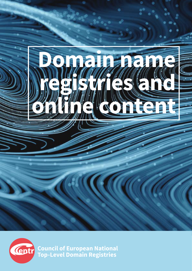



**Council of European National Top-Level Domain Registries**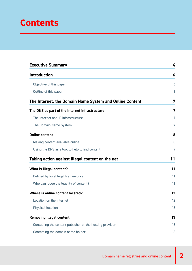# **Contents**

| <b>Executive Summary</b>                                 | 4  |
|----------------------------------------------------------|----|
| <b>Introduction</b>                                      | 6  |
| Objective of this paper                                  | 6  |
| Outline of this paper                                    | 6  |
| The Internet, the Domain Name System and Online Content  | 7  |
| The DNS as part of the Internet infrastructure           | 7  |
| The Internet and IP infrastructure                       | 7  |
| The Domain Name System                                   | 7  |
| <b>Online content</b>                                    | 8  |
| Making content available online                          | 8  |
| Using the DNS as a tool to help to find content          | 9  |
| Taking action against illegal content on the net         | 11 |
| What is illegal content?                                 | 11 |
| Defined by local legal frameworks                        | 11 |
| Who can judge the legality of content?                   | 11 |
| Where is online content located?                         | 12 |
| Location on the Internet                                 | 12 |
| Physical location                                        | 13 |
| <b>Removing illegal content</b>                          | 13 |
| Contacting the content publisher or the hosting provider | 13 |
| Contacting the domain name holder                        | 13 |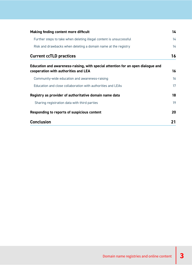| Making finding content more difficult                                                                                    | 14 |
|--------------------------------------------------------------------------------------------------------------------------|----|
| Further steps to take when deleting illegal content is unsuccessful                                                      | 14 |
| Risk and drawbacks when deleting a domain name at the registry                                                           | 14 |
| <b>Current ccTLD practices</b>                                                                                           | 16 |
| Education and awareness-raising, with special attention for an open dialogue and<br>cooperation with authorities and LEA | 16 |
| Community-wide education and awareness-raising                                                                           | 16 |
| Education and close collaboration with authorities and LEAs                                                              | 17 |
| Registry as provider of authoritative domain name data                                                                   | 18 |
| Sharing registration data with third parties                                                                             | 19 |
| Responding to reports of suspicious content                                                                              | 20 |
| <b>Conclusion</b>                                                                                                        | 21 |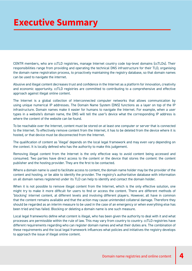# <span id="page-3-0"></span>**Executive Summary**

CENTR members, who are ccTLD registries, manage Internet country code top-level domains (ccTLDs). Their responsibilities range from providing and operating the technical DNS infrastructure for their TLD, organising the domain name registration process, to proactively maintaining the registry database, so that domain names can be used to navigate the internet.

Abusive and illegal content decreases trust and confidence in the Internet as a platform for innovation, creativity and economic opportunity. ccTLD registries are committed to contributing to a comprehensive and effective approach against illegal online content.

The Internet is a global collection of interconnected computer networks that allows communication by using unique numerical IP addresses. The Domain Name System (DNS) functions as a layer on top of the IP infrastructure. Domain names make it easier for humans to navigate the Internet. For example, when a user types in a website's domain name, the DNS will tell the user's device what the corresponding IP address is where the content of the website can be found.

To be reachable over the Internet, content must be stored on at least one computer or server that is connected to the Internet. To effectively remove content from the Internet, it has to be deleted from the device where it is hosted, or that device must be disconnected from the Internet.

The qualification of content as 'illegal' depends on the local legal framework and may even vary depending on the context. It is locally defined who has the authority to make this judgement.

Removing illegal content from the Internet is the only effective way to avoid content being accessed and consumed. Two parties have direct access to the content or the device that stores the content: the content publisher and the hosting provider. They are the first to be contacted.

Where a domain name is used to facilitate access to content, the domain name holder may be the provider of the content and hosting, or be able to identify the provider. The registry's authoritative database with information on all domain names registered under its TLD can help to identify and contact the domain holder.

When it is not possible to remove illegal content from the Internet, which is the only effective solution, one might try to make it more difficult for users to find or access the content. There are different methods of 'blocking' internet content, at different levels and involving different players. However, all have in common that the content remains available and that the action may cause unintended collateral damage. Therefore they should be regarded as an interim measure to be used in the case of an emergency or when everything else has been tried and has failed. Blocking or deleting a domain name is one such measure.

Local legal frameworks define what content is illegal, who has been given the authority to deal with it and what processes are permissible within the rule of law. This may vary from country to country. ccTLD registries have different requirements regarding who can register domain names and what their duties are. The combination of these requirements and the local legal framework influences what policies and initiatives the registry develops to approach the issue of illegal online content.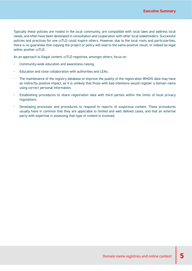Typically these policies are rooted in the local community, are compatible with local laws and address local needs, and often have been developed in consultation and cooperation with other local stakeholders. Successful policies and practices for one ccTLD could inspire others. However, due to the local roots and particularities, there is no guarantee that copying the project or policy will lead to the same positive result, or indeed be legal within another ccTLD.

As an approach to illegal content, ccTLD registries, amongst others, focus on:

- Community-wide education and awareness-raising.
- Education and close collaboration with authorities and LEAs.
- The maintenance of the registry database to improve the quality of the registration WHOIS data may have an indirectly positive impact, as it is unlikely that those with bad intentions would register a domain name using correct personal information.
- Establishing procedures to share registration data with third parties within the limits of local privacy regulations.
- Developing processes and procedures to respond to reports of suspicious content. These procedures usually have in common that they are applicable to limited and well defined cases, and that an external party with expertise in assessing that type of content is involved.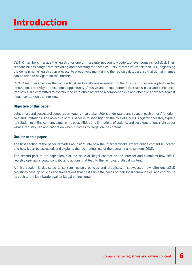# <span id="page-5-0"></span>**Introduction**

CENTR members manage the registry for one or more internet country code top-level domains (ccTLDs). Their responsibilities range from providing and operating the technical DNS infrastructure for their TLD, organising the domain name registration process, to proactively maintaining the registry database, so that domain names can be used to navigate on the internet.

CENTR members believe that online trust and safety are essential for the Internet to remain a platform for innovation, creativity and economic opportunity. Abusive and illegal content decreases trust and confidence. Registries are committed to contributing with other actors to a comprehensive and effective approach against illegal content on the Internet.

#### **Objective of this paper**

Joint effort and successful cooperation require that stakeholders understand and respect each others' function, role and limitations. The objective of this paper is to shed light on the role of a ccTLD registry operator, explain its relation to online content, explore the possibilities and limitations of actions, and set expectations right about what a registry can and cannot do when it comes to illegal online content.

#### **Outline of this paper**

The first section of the paper provides an insight into how the Internet works, where online content is located and how it can be accessed, and explains the facilitating role of the domain name system (DNS).

The second part of the paper looks at the issue of illegal content on the Internet and examines how ccTLD registry operators could contribute to actions that lead to the removal of illegal content.

A third section is dedicated to current registry policies and practices. It showcases how different ccTLD registries develop policies and take actions that best serve the needs of their local communities, and contribute as such to the joint battle against illegal online content.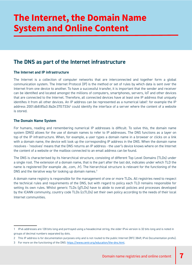# <span id="page-6-0"></span>**The Internet, the Domain Name System and Online Content**

# **The DNS as part of the Internet infrastructure**

### **The Internet and IP infrastructure**

The Internet is a collection of computer networks that are interconnected and together form a global communication system. The Internet Protocol (IP) is the method or set of rules by which data is sent over the Internet from one device to another. To have a successful transfer, it is important that the sender and receiver can be identified and located amongst the millions of computers, smartphones, servers, IoT and other devices that are connected to the Internet. Therefore, all connected devices have at least one IP address that uniquely identifies it from all other devices. An IP address can be represented as a numerical label<sup>1</sup>: for example the IP address 2001:db8:85a3::8a2e:370:7334<sup>2</sup> could identify the interface of a server where the content of a website is stored.

### **The Domain Name System**

For humans, reading and remembering numerical IP addresses is difficult. To solve this, the domain name system (DNS) allows for the use of domain names to refer to IP addresses. The DNS functions as a layer on top of the IP infrastructure. When, for example, a user types a domain name in a browser or clicks on a link with a domain name, the device will look up the corresponding IP address in the DNS. When the domain name resolves - 'resolves' means that the DNS returns an IP address - the user's device knows where on the Internet the content of a website or the mailbox connected to an email address can be found.

The DNS is characterised by its hierarchical structure, consisting of different Top Level Domains (TLDs) under a single root. The extension of a domain name, that is the part after the last dot, indicates under which TLD the name is registered (for example .de, .com, .fr). The hierarchical structure is relevant for the functioning of the DNS and the iterative way for looking up domain names.<sup>3</sup>

A domain name registry is responsible for the management of one or more TLDs. All registries need to respect the technical rules and requirements of the DNS, but with regard to policy each TLD remains responsible for setting its own rules. Whilst generic TLDs (gTLDs) have to abide to overall policies and processes developed by the ICANN community, country code TLDs (ccTLDs) set their own policy according to the needs of their local Internet communities.

<sup>1</sup> IPv6 addresses are 128 bits long and portrayed using a hexadecimal string, the older IPv4 version is 32 bits long and is noted in groups of decimal numbers separated by dots.

<sup>2</sup> This IP address is for documentation purposes only and is not routed to the public Internet (RFC 3849, IPv6 Documentation prefix).

<sup>3</sup> For more on the functioning of the DNS: <https://www.centr.org/education/the-dns.html>.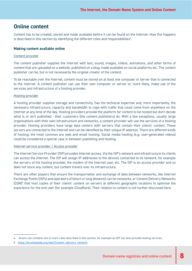## <span id="page-7-0"></span>**Online content**

Content has to be created, stored and made available before it can be found on the Internet. How this happens is described in this section by identifying the different roles and responsibilities<sup>4</sup>.

### **Making content available online**

#### Content provider

The content publisher supplies the Internet with text, sound, images, videos, animations, and other forms of content that are uploaded on a website, published on a blog, made available on social platforms etc. The content publisher can be, but is not necessarily the original creator of the content.

To be reachable over the Internet, content must be stored on at least one computer or server that is connected to the Internet. A content publisher can use their own computer or server or, more likely, make use of the services and infrastructure of a hosting provider.

#### Hosting provider

A hosting provider supplies storage and connectivity, has the technical expertise and, more importantly, the necessary infrastructure, capacity and bandwidth to cope with traffic that could come from anywhere on the Internet at any time of the day. Hosting providers provide the platform for content to be hosted but don't decide what is or isn't published - their customers (the content publishers) do. With a few exceptions, usually large organisations with their own infrastructure and networks, a content provider will use the services of a hosting provider. Hosting providers have large data centers with servers that contain their clients' content. These servers are connected to the Internet and can be identified by their unique IP address. There are different kinds of hosting; the most common are web and email hosting. Social media hosting (e.g. user-generated videos) could be considered a special case in between publishing and hosting.

#### Internet service provider / Access provider

The Internet Service Provider (ISP) provides Internet access. Via the ISP's network and infrastructure its clients can access the Internet. The ISP will assign IP addresses to the devices connected to its network, for example the servers of the hosting provider, the modem of the Internet user, etc. The ISP is an access provider and so does not store any content, but content travels over its infrastructure.

There are other players that ensure the transportation and exchange of data between networks, like Internet Exchange Points (IXPs) and operators of (short or long distance) carrier networks, or Content Delivery Networks (CDN)<sup>5</sup> that host copies of their clients' content on servers at different geographic locations to optimise the experience for the end user (for example Cloudflare). Their relation to content is not further discussed here.

<sup>4</sup> Actors can combine one or more roles described in this section, for example an ISP can also provide hosting services.

<sup>5</sup> [https://en.wikipedia.org/wiki/Content\\_delivery\\_network](https://en.wikipedia.org/wiki/Content_delivery_network)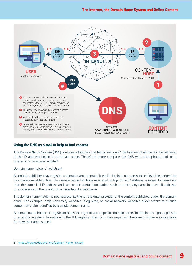<span id="page-8-0"></span>

### **Using the DNS as a tool to help to find content**

The Domain Name System (DNS) provides a function that helps "navigate" the Internet, it allows for the retrieval of the IP address linked to a domain name. Therefore, some compare the DNS with a telephone book or a property or company register<sup>6</sup>.

#### Domain name holder / registrant

A content publisher may register a domain name to make it easier for Internet users to retrieve the content he has made available online. The domain name functions as a label on top of the IP address, is easier to memorise than the numerical IP address and can contain useful information, such as a company name in an email address, or a reference to the content in a website's domain name.

The domain name holder is not necessarily the (or the only) provider of the content published under the domain name. For example large university websites, blog sites, or social network websites allow others to publish content on a site identified by a single domain name.

A domain name holder or registrant holds the right to use a specific domain name. To obtain this right, a person or an entity registers the name with the TLD registry, directly or via a registrar. The domain holder is responsible for how the name is used.

<sup>6</sup> [https://en.wikipedia.org/wiki/Domain\\_Name\\_System](https://en.wikipedia.org/wiki/Domain_Name_System)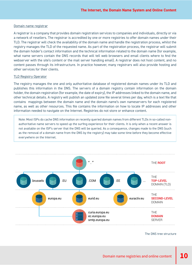#### Domain name registrar

A registrar is a company that provides domain registration services to companies and individuals, directly or via a network of resellers. The registrar is accredited by one or more registries to offer domain names under their TLD. The registrar will check the availability of the domain name and handle the registration process, whilst the registry manages the TLD of the requested name. As part of the registration process, the registrar will submit the domain holder's contact information and the technical information related to the domain name (for example, what name servers contain the DNS records that will tell web browsers and email clients where to find the webserver with the site's content or the mail server handling email). A registrar does not host content, and no content passes through its infrastructure. In practice however, many registrars will also provide hosting and other services for their clients.

#### TLD Registry Operator

The registry manages the one and only authoritative database of registered domain names under its TLD and publishes this information in the DNS. The servers of a domain registry contain information on the domain holder, the domain registration (for example, the date of expiry), the IP addresses linked to the domain name, and other technical details. A registry will publish an updated zone file several times per day, which is a text file that contains mappings between the domain name and the domain name's own nameservers for each registered name, as well as other resources. This file contains the information on how to locate IP addresses and other information needed to navigate on the Internet. Registries do not store or enhance content.

Note: Most ISPs do cache DNS information on recently queried domain names from different TLDs in so-called nonauthoritative name servers to speed up the surfing experience for their clients. It is only when a recent answer is not available on the ISP's server that the DNS will be queried. As a consequence, changes made to the DNS (such as the removal of a domain name from the DNS by the registry) may take some time before they become effective everywhere on the Internet.



The DNS tree structure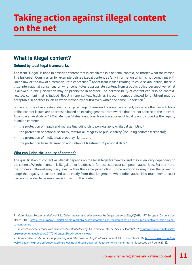# <span id="page-10-0"></span>**Taking action against illegal content on the net**

## **What is illegal content?**

## **Defined by local legal frameworks**

The term "illegal" is used to describe content that is prohibited in a national context, no matter what the reason. The European Commission for example defines illegal content as 'any information which is not compliant with Union law or the law of a Member State concerned.'7 Apart from issues relating to child sexual abuse, there is little international consensus on what constitutes appropriate content from a public policy perspective. What is allowed in one jurisdiction may be prohibited in another. The permissibility of content can also be contextrelated: content that is judged illegal in one context (such as indecent comedy viewed by children) may be acceptable in another (such as when viewed by adults) even within the same jurisdiction.<sup>8</sup>

Some countries have established a targeted legal framework on online content, while in other jurisdictions online content issues are addressed based on existing general frameworks that are not specific to the Internet. A comparative study in 47 CoE Member States found four broad categories of legal grounds to judge the legality of online content:

- the protection of health and morals (including child pornography or illegal gambling);
- the protection of national security, territorial integrity or public safety (including counter-terrorism);
- the protection of intellectual property rights; and
- the protection from defamation and unlawful treatment of personal data.<sup>9</sup>

### **Who can judge the legality of content?**

The qualification of content as 'illegal' depends on the local legal framework and may even vary depending on the context. Whether content is illegal or not is a decision for local courts or competent authorities. Furthermore, the process followed may vary even within the same jurisdiction. Some authorities may have the power to judge the legality of content and act directly from that judgement, while other authorities must seek a court decision in order to be empowered to act on the content.

<sup>7</sup> *Commission Recommendation of 1.3.2018 on measures to effectively tackle illegal content online*, C(2018)1177, European Commission, March 2018, [https://ec.europa.eu/digital-single-market/en/news/commission-recommendation-measures-effectively-tackle-illegal](https://ec.europa.eu/digital-single-market/en/news/commission-recommendation-measures-effectively-tackle-illegal-content-online)[content-online](https://ec.europa.eu/digital-single-market/en/news/commission-recommendation-measures-effectively-tackle-illegal-content-online)

<sup>8</sup> *Internet Society Perspectives on Internet Content Blocking: An Overview,* Internet Society, March 2017, [https://www.internetsociety.](https://www.internetsociety.org/wp-content/uploads/2017/03/ContentBlockingOverview.pdf) [org/wp-content/uploads/2017/03/ContentBlockingOverview.pdf](https://www.internetsociety.org/wp-content/uploads/2017/03/ContentBlockingOverview.pdf)

<sup>9</sup> *Comparative study on blocking, filtering and take-down of illegal Internet content,* CEO, December 2015, [https://www.coe.int/en/](https://www.coe.int/en/web/freedom-expression/study-filtering-blocking-and-take-down-of-illegal-content-on-the-internet) [web/freedom-expression/study-filtering-blocking-and-take-down-of-illegal-content-on-the-internet](https://www.coe.int/en/web/freedom-expression/study-filtering-blocking-and-take-down-of-illegal-content-on-the-internet) (accessed on 7 June 2018).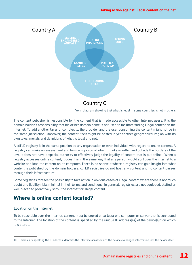<span id="page-11-0"></span>

Venn diagram showing that what is legal in some countries is not in others

The content publisher is responsible for the content that is made accessible to other Internet users. It is the domain holder's responsibility that his or her domain name is not used to facilitate finding illegal content on the internet. To add another layer of complexity, the provider and the user consuming the content might not be in the same jurisdiction. Moreover, the content itself might be hosted in yet another geographical region with its own laws, morals and definitions of what is legal and not.

A ccTLD registry is in the same position as any organisation or even individual with regard to online content. A registry can make an assessment and form an opinion of what it thinks is within and outside the borders of the law. It does not have a special authority to effectively judge the legality of content that is put online. When a registry accesses online content, it does this in the same way that any person would surf over the internet to a website and load the content on its computer. There is no shortcut where a registry can gain insight into what content is published by the domain holders. ccTLD registries do not host any content and no content passes through their infrastructure.

Some registries foresee the possibility to take action in obvious cases of illegal content where there is not much doubt and liability risks minimal in their terms and conditions. In general, registries are not equipped, staffed or well placed to proactively scroll the internet for illegal content.

# **Where is online content located?**

### **Location on the Internet**

To be reachable over the Internet, content must be stored on at least one computer or server that is connected to the Internet. The location of the content is specified by the unique IP address(es) of the device(s)<sup>10</sup> on which it is stored.

<sup>10</sup> Technically speaking the IP address identifies the interface across which the device exchanges information, not the device itself.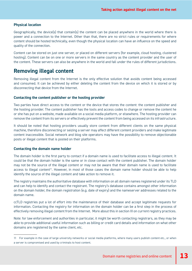### <span id="page-12-0"></span>**Physical location**

Geographically, the device(s) that contain(s) the content can be placed anywhere in the world where there is power and a connection to the Internet. Other than that, there are no strict rules or requirements for where content should be hosted technically, even though the physical location can have an influence on the speed and quality of the connection.

Content can be stored on just one server, or placed on different servers (for example, cloud hosting, clustered hosting). Content can be on one or more servers in the same country as the content provider and the user of the content. These servers can also be anywhere in the world and fall under the rules of different jurisdictions.

## **Removing illegal content**

Removing illegal content from the Internet is the only effective solution that avoids content being accessed and consumed. It can be achieved by either deleting the content from the device on which it is stored or by disconnecting that device from the Internet.

#### **Contacting the content publisher or the hosting provider**

Two parties have direct access to the content or the device that stores the content: the content publisher and the hosting provider. The content publisher has the tools and access codes to change or remove the content he or she has put on a website, made available on a social media platform, or elsewhere. The hosting provider can remove the content from its servers or effectively prevent the content from being accessed on its infrastructure.

It should be noted that hosting providers usually store content from different clients on the same physical machine, therefore disconnecting or seizing a server may affect different content providers and make legitimate content inaccessible. Social network and blog site operators may have the possibility to remove objectionable posts or illegal content that is posted on their platforms.

#### **Contacting the domain name holder**

The domain holder is the first party to contact if a domain name is used to facilitate access to illegal content. It could be that the domain holder is the same or in close contact with the content publisher. The domain holder may not be the source of the illegal content or may not be aware that their domain name is used to facilitate access to illegal content<sup>11</sup>. However, in most of those cases the domain name holder should be able to help identify the source of the illegal content and take action to remove it.

The registry maintains the authoritative database with information on all domain names registered under its TLD and can help to identify and contact the registrant. The registry's database contains amongst other information on the domain holder, the domain registration (e.g. date of expiry) and the nameserver addresses related to the domain name.

ccTLD registries put a lot of effort into the maintenance of their database and accept legitimate requests for information. Contacting the registry for information on the domain holder can be a first step in the process of effectively removing illegal content from the Internet. More about this in section III on current registry practices.

Note: for law enforcement and authorities in particular, it might be worth contacting registrars, as they may be able to provide additional useful information such as billing or credit card details and information on what other domains are registered by the same client, etc.

<sup>11</sup> For example in the case of large university networks or social media platforms, where many users publish content etc., or when a server is compromised and used by criminals to host content.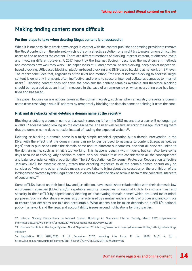## <span id="page-13-0"></span>**Making finding content more difficult**

#### **Further steps to take when deleting illegal content is unsuccessful**

When it is not possible to track down or get in contact with the content publisher or hosting provider to remove the illegal content from the internet, which is the only effective solution, one might try to make it more difficult for users to find or access the content. There are different methods of blocking internet content, at different levels and involving different players. A 2017 report by the Internet Society<sup>12</sup> describes the most current methods and assesses how well they work. The paper looks at IP and protocol-based blocking, deep packet inspectionbased blocking, URL-based blocking, platform-based blocking and DNS-based blocking at network or ISP level. The report concludes that, regardless of the level and method, "the use of internet blocking to address illegal content is generally inefficient, often ineffective and prone to cause unintended collateral damages to Internet users." Blocking content does not solve the problem: the content remains available and therefore blocking should be regarded at as an interim measure in the case of an emergency or when everything else has been tried and has failed.

This paper focuses on are actions taken at the domain registry, such as when a registry prevents a domain name from resolving a valid IP address by temporarily blocking the domain name or deleting it from the zone.

#### **Risk and drawbacks when deleting a domain name at the registry**

Blocking or deleting a domain name and as such removing it from the DNS means that a user will no longer get a valid IP address when looking up the domain name. The user will receive an error message informing them that the domain name does not exist instead of loading the expected website<sup>13</sup>.

Deleting or blocking a domain name is a fairly simple technical operation but a drastic intervention in the DNS, with the effect that the domain name can no longer be used to navigate to content (illegal as well as legal) that is published under the domain name and its different subdomains, and that all services linked to the domain name, such as email, stop working. This happens usually within hours, but can also take some days because of caching. Any decision to delete or block should take into consideration all the consequences and balance prudence with proportionality. The EU Regulation on Consumer Protection Cooperation (effective January 2020) for example clearly states that ordering registries to delete domain names should only be considered "where no other effective means are available to bring about the cessation or the prohibition of the infringement covered by this Regulation and in order to avoid the risk of serious harm to the collective interests of consumers."14

Some ccTLDs, based on their local law and jurisdiction, have established relationships with their domestic law enforcement agencies (LEAs) and/or reputable security companies or national CERTs to improve trust and security in their ccTLD by expeditiously deleting or deactivating domain names which are used for criminal purposes. Such relationships are generally characterised by a mutual understanding of processing and controls to ensure that decisions are fair and accountable. What actions can be taken depends on a ccTLD's national policy framework and the legal and accountability issues around notifications by third parties.

<sup>12</sup> Internet Society Perspectives on Internet Content Blocking: An Overview, Internet Society, March 2017, https://www. internetsociety.org/wp-content/uploads/2017/03/ContentBlockingOverview.pdf

<sup>13</sup> Domain Conflicts in the Legal System, Norid, September 2017, [https://www.norid.no/en/domenekonflikter/rettslig-behandling/](https://www.norid.no/en/domenekonflikter/rettslig-behandling/veileder/) [veileder/](https://www.norid.no/en/domenekonflikter/rettslig-behandling/veileder/)

<sup>14</sup> Regulation (EU) 2017/2394 of 12 December 2017, entering into force 17 Jan 2020. Art.9, 4, (g) , <https://eur-lex.europa.eu/legal-content/EN/TXT/PDF/?uri=CELEX:32017R2394&from=EN>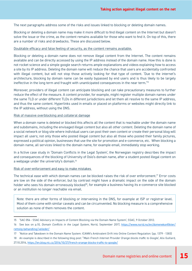The next paragraphs address some of the risks and issues linked to blocking or deleting domain names.

Blocking or deleting a domain name may make it more difficult to find illegal content on the Internet but doesn't solve the issue or the crime, as the content remains available for those who want to find it. On top of this, there are a number of risks and drawbacks. These are discussed below.

#### Doubtable efficacy and false feeling of security, as the content remains available.

Blocking or deleting a domain name does not remove illegal content from the Internet. The content remains available and can be directly accessed by using the IP address instead of the domain name. How this is done is not rocket science and a simple google search returns ample explanations and videos explaining how to access a site by its IP address. Deleting the domain name will reduce the chance that users are accidentally confronted with illegal content, but will not stop those actively looking for that type of content. 'Due to the internet's architecture, blocking by domain name can be easily bypassed by end users and is thus likely to be largely ineffective in the long term and fraught with unanticipated consequences in the near term.'15

Moreover, providers of illegal content can anticipate blocking and can take precautionary measures to further reduce the effect of the measure. A content provider, for example, might register multiple domain names under the same TLD or under different TLDs in different jurisdictions and let them all resolve to the same IP address, and thus the same content. Hyperlinks used in emails or placed on platforms or websites might directly link to the IP address, without using the DNS.

#### Risk of massive overblocking and collateral damage

When a domain name is deleted or blocked this affects all the content that is reachable under the domain name and subdomains, including the envisaged illegal content but also all other content. Deleting the domain name of a social network or blog site where individual users can post their own content or create their personal blog will impact all users; not only those who posted illegal content but also all those who posted their family pictures, expressed a political opinion, businesses that use the site for promotion and e-commerce, etc. When blocking a domain name, all services linked to the domain name, for example email, immediately stop working.

In a fictive case study in 'Domain Conflicts in the Legal System', the Norwegian registry describes the impact and consequences of the blocking of University of Oslo's domain name, after a student posted illegal content on a webpage under the university's domain.16

#### Risk of over-enforcement and easy to make mistakes

The technical ease with which domain names can be blocked raises the risk of over enforcement.<sup>17</sup> Error costs are low on the side of the enforcer, but by contrast might have a dramatic impact on the side of the domain holder who sees his domain erroneously blocked<sup>18</sup>, for example a business having its e-commerce site blocked or an institution no longer reachable via email.

Note: there are other forms of blocking or intervening in the DNS, for example at ISP or registrar level. Most of them come with similar caveats and can be circumvented. No blocking measure is a comprehensive solution as none of them removes the content.

18 An example is described in the following blog post: "*Main French Internet Provider Orange blocks traffic to Google'*, Alix Guillard, 27.10.2016,<https://en.blog.nic.cz/2016/10/27/french-orange-blocks-traffic-to-google/>

<sup>15</sup> 'SAC 056 - SSAC Advisory on Impacts of Content Blocking via the Domain Name System', SSAC, 9 October 2012.

<sup>16</sup> See box on p.10, *Domain Conflicts in the Legal System,* Norid, September 2017, [https://www.norid.no/en/domenekonflikter/](https://www.norid.no/en/domenekonflikter/rettslig-behandling/veileder/) [rettslig-behandling/veileder/](https://www.norid.no/en/domenekonflikter/rettslig-behandling/veileder/)

<sup>17</sup> 'Notice and Takedown in the Domain Name System: ICANN's Ambivalent Drift into Online Content Regulation: (pp. 1379 - 1383)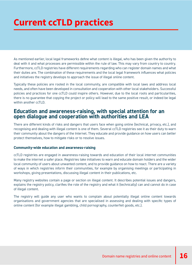# <span id="page-15-0"></span>**Current ccTLD practices**

As mentioned earlier, local legal frameworks define what content is illegal, who has been given the authority to deal with it and what processes are permissible within the rule of law. This may vary from country to country. Furthermore, ccTLD registries have different requirements regarding who can register domain names and what their duties are. The combination of these requirements and the local legal framework influences what policies and initiatives the registry develops to approach the issue of illegal online content.

Typically these policies are rooted in the local community, are compatible with local laws and address local needs, and often have been developed in consultation and cooperation with other local stakeholders. Successful policies and practices for one ccTLD could inspire others. However, due to the local roots and particularities, there is no guarantee that copying the project or policy will lead to the same positive result, or indeed be legal within another ccTLD.

## **Education and awareness-raising, with special attention for an open dialogue and cooperation with authorities and LEA**

There are different kinds of risks and dangers that users face when going online (technical, privacy, etc.), and recognising and dealing with illegal content is one of them. Several ccTLD registries see it as their duty to warn their community about the dangers of the Internet. They educate and provide guidance on how users can better protect themselves, how to mitigate risks or to resolve issues.

### **Community-wide education and awareness-raising**

ccTLD registries are engaged in awareness-raising towards and education of their local internet communities to make the internet a safer place. Registries take initiatives to warn and educate domain holders and the wider local community of users about unwanted content, and to provide guidance on how to react. There are a variety of ways in which registries inform their communities, for example by organising meetings or participating in workshops, giving presentations, discussing illegal content in their publications, etc.

Many registry websites contain a page or section on illegal content. It describes potential issues and dangers, explains the registry policy, clarifies the role of the registry and what it (technically) can and cannot do in case of illegal content.

The registry will guide any user who wants to complain about potentially illegal online content towards organisations and government agencies that are specialised in assessing and dealing with specific types of online content (for example illegal gambling, child pornography, counterfeit goods, etc.).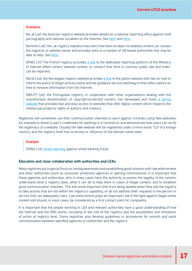#### <span id="page-16-0"></span>**Examples**

Nic.at (.at): the Austrian registry website provides details on a national reporting office against child pornography and national socialism on the Internet. See [here](
https://www.nic.at/en/how-at-works/faqs/illegal-activities-on-the-internet ) and [here.](https://www.nic.at/en/good_to_know/security/stopline )

Nominet (.uk): the .uk registry explains how users that want to object to website content can contact the registrar or website owner and provides links to a number of UK-based authorities that may be able to help. See [here.](https://www.nominet.uk/resources/complaints/#website )

AFNIC (.fr): The French registry provides [a link](https://www.internet-signalement.gouv.fr/) to the dedicated reporting platform of the Ministry of internal affairs where 'website content, or conduct that illicit or contrary public law and order' can be reported.

Norid (.no): the Norwegian registry website provides [a link](https://www.norid.no/en/domenekonflikter/ansvar-innhold/ 
) to the police website with tips on how to inform the police of illegal activity online and the guidance service slettmeg.no that offers advice on how to remove information from the Internet.

DNS.PT (.pt): the Portuguese registry, in cooperation with other organisations dealing with the unauthorised dissemination of copyright-protected content, has developed and hosts [a portal](http://www.ofertaslegais.pt)  [website](http://www.ofertaslegais.pt) that provides fast and easy access to websites that offer digital content which respects the intellectual property rights of authors and creators.

Registries will sometimes use their communication channels to warn against criminals using fake websites, for example to obtain a user's credentials for banking or e-commerce, and demonstrate how users can verify the legitimacy of a website. Usually the fake website will be registered under a more exotic TLD of a foreign country, and the registry itself has no access or influence on the domain name used.

#### **Example**

SIDN's (.nl) [recent warning](https://www.sidn.nl/a/internet-security/your-banks-got-a-new-log-in-system-watch-out-for-scams?language_id=2 ) against online banking fraud.

#### **Education and close collaboration with authorities and LEAs**

Many registries put a special focus on raising awareness and establishing good relations with law enforcement and other authorities (such as consumer protection agencies or gaming commissions). It is important that these agencies and authorities, who in many cases have the authority to assess the legality of the content, understand what a registry does, what it can do to help them in cases of illegal content, and to establish good communication channels. This will avoid important time from being wasted when they ask the registry to take actions that are not within the registry's capability, or do not address their requests to the person or service that can adequately react. Law enforcement plays an important role in the fight against illegal online content and should, in most cases, be considered as a first contact point for complaints.

It is important that the people working in LEA and relevant authorities have a good understanding of how the Internet and the DNS works, including of the role of the registry and the possibilities and limitations of action at registry level. Some registries also develop guidelines or procedures for smooth and quick communication between specified agencies or authorities and the registry.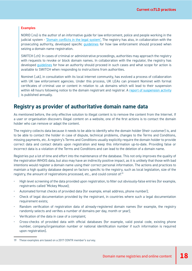#### <span id="page-17-0"></span>**Examples**

NORID (.no) is the author of an informative guide for law enforcement, police and people working in the judicial system - ['Domain conflicts in the legal system'](https://www.norid.no/en/domenekonflikter/rettslig-behandling/veileder/  ). The registry has also, in collaboration with the prosecuting authority, developed specific [guidelines](https://www.norid.no/en/domenekonflikter/beslag/) for how law enforcement should proceed when seizing a domain name registration.

SWITCH (.ch): In cases of criminal or administrative proceedings, authorities may approach the registry with requests to revoke or block domain names. In collaboration with the regulator, the registry has developed [guidelines](https://www.nic.ch/terms/#collapse-f7d7b775-4ce5-11e6-b33a-525400a7a801-4 ) for how an authority should proceed in such cases and what scope for action is available to SWITCH when responding to instructions from authorities.

Nominet (.uk), in consultation with its local internet community, has evolved a process of collaboration with UK law enforcement agencies. Under this process, UK LEAs can present Nominet with formal certificates of criminal use or content in relation to .uk domains which will lead to their suspension within 48 hours following notice to the domain registrant and registrar. A [report of suspension activity](https://nominet-prod.s3.amazonaws.com/wp-content/uploads/2016/11/Tackling-online-criminal-activity-v3a.jpg 
) is published annually.

## **Registry as provider of authoritative domain name data**

As mentioned before, the only effective solution to illegal content is to remove the content from the Internet. If a user or organisation discovers illegal content on a website, one of the first actions is to contact the domain holder who can remove or adapt the content.

The registry collects data because it needs to be able to identify who the domain holder (their customer) is, and to be able to contact the holder in case of dispute, technical problems, changes to the Terms and Conditions, missing payments, etc. A registry's Terms and Conditions usually explicitly require the domain holder to provide correct data and contact details upon registration and keep this information up-to-date. Providing false or incorrect data is a violation of the Terms and Conditions and can lead to the deletion of a domain name.

Registries put a lot of time and effort into the maintenance of the database. This not only improves the quality of the registration WHOIS data, but also may have an indirectly positive impact, as it is unlikely that those with bad intentions would register a domain name using their correct personal information. The actions and practices to maintain a high quality database depend on factors specific to the registry, such as local legislation, size of the registry, the amount of registrations processed, etc., and could consist of:19

- High level screening of the data provided upon registration, to filter out obviously-false entries (for example, registrants called 'Mickey Mouse);
- Automated format checks of provided data (for example, email address, phone number);
- Check of legal documentation provided by the registrant, in countries where such a legal documentation requirement exists;
- Random verification of registration data of already-registered domain names (for example, the registry randomly selects and verifies a number of domains per day, month or year);
- Verification of the data in case of a complaint;
- Cross-checks of provided data with official databases (for example, valid postal code, existing phone number, company/organisation number or national identification number if such information is required upon registration).

<sup>19</sup> These examples are based on a 2017 CENTR member's survey.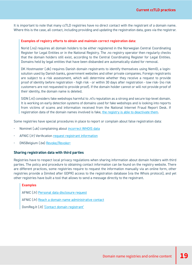<span id="page-18-0"></span>It is important to note that many ccTLD registries have no direct contact with the registrant of a domain name. Where this is the case, all contact, including providing and updating the registration data, goes via the registrar.

#### **Examples of registry efforts to obtain and maintain correct registration data:**

Norid (.no) requires all domain holders to be either registered in the Norwegian Central Coordinating Register for Legal Entities or in the National Registry. The .no registry operator then regularly checks that the domain holders still exist, according to the Central Coordinating Register for Legal Entities. Domains held by legal entities that have been disbanded are automatically slated for removal.

DK Hostmaster (.dk) requires Danish domain registrants to identify themselves using NemID, a loginsolution used by Danish banks, government websites and other private companies. Foreign registrants are subject to a risk assessment, which will determine whether they receive a request to provide proof of identity before registration - high risk - or within 30 days after registration - low risk- (no risk customers are not requested to provide proof). If the domain holder cannot or will not provide proof of their identity, the domain name is deleted.

SIDN (.nl) considers fake webshops harmful to .nl's reputation as a strong and secure top-level domain. It is working on early detection systems of domains used for fake webshops and is looking into reports from victims of scams and information received from the National Internet Fraud Report Desk. If registration data of the domain names involved is fake, [the registry is able to deactivate them](https://www.sidn.nl/a/internet-security/a-days-work-becomes-a-one-click-task).

Some registries have special procedures in place to report or complain about false registration data:

- Nominet (.uk) complaining about [incorrect WHOIS data](https://www.nominet.uk/resources/complaints/#whois)
- AFNIC (.fr) Verification [request registrant information](https://www.afnic.fr/en/dispute-resolution/tools-and-procedures/verification-request-16.html )
- DNSBelgium (.be) [Revoke/Revoke+](https://www.dnsbelgium.be/en/complaints-about-domain)

#### **Sharing registration data with third parties**

Registries have to respect local privacy regulations when sharing information about domain holders with third parties. The policy and procedure to obtaining contact information can be found on the registry website. There are different practices, some registries require to request the information manually via an online form, other registries provide a (limited after GDPR) access to the registration database (via the Whois protocol), and yet other registries have built a tool that allows to send a message directly to the registrant.

#### **Examples**

AFNIC (.fr) [Personal data disclosure request](https://www.afnic.fr/en/dispute-resolution/tools-and-procedures/personal-data-disclosure-request-form-12.html  )

AFNIC (.fr) [Reach a domain name administrative contact](https://www.afnic.fr/en/dispute-resolution/tools-and-procedures/reach-a-domain-name-administrative-contact/ )

DomReg.lt (.lt) ['Contact domain registrant'](http://www.domreg.lt/public?pg=55E9C3&cdom= )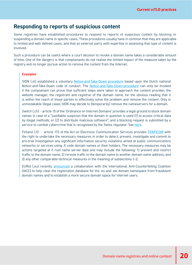## <span id="page-19-0"></span>**Responding to reports of suspicious content**

Some registries have established procedures to respond to reports of suspicious content by blocking or suspending a domain name in specific cases. These procedures usually have in common that they are applicable to limited and well defined cases, and that an external party with expertise in assessing that type of content is involved.

Such a procedure can be useful where a court decision to revoke a domain name takes a considerable amount of time. One of the dangers is that complainants do not realise the limited impact of the measure taken by the registry and no longer pursue action to remove the content from the Internet.

#### **Examples**

SIDN (.nl) established a voluntary [Notice-and-Take-Down procedure](https://www.sidn.nl/downloads/procedures/Notice_and_Take_Down_Procedure_for_nl_Domain_Names.pdf ) based upon the Dutch national Notice-and-Take-Down code of conduct. The [Notice-and-Take-Down-procedure](https://www.sidn.nl/a/nl-domain-name/complaining-about-the-content-of-a-website ) can only be invoked if the complainant can prove that sufficient steps were taken to approach the content provider, the website manager, the registrant and registrar of the domain name, for the obvious reading that it is within the reach of those parties to effectively solve the problem and remove the content. Only in unmistakable illegal cases SIDN may decide to (temporarily) remove the nameservers for a domain.

Switch (.ch) - article 15 of the 'Ordinance on Internet Domains' provides a legal ground to block domain names in case of a "justifiable suspicion that the domain in question is used (1) to access critical data by illegal methods; or (2) to distribute malicious software"; and a blocking request is submitted by a service to combat cybercrime that is recognised by the Swiss regulator. See [here](https://www.admin.ch/opc/en/classified-compilation/20141744/index.html 
).

Finland (.fi) - article 172 of the Act on Electronic Communication Services provides **[TRAFICOM](https://www.viestintavirasto.fi/attachments/fi-verkkotunnus/Summary_of_domain_name_provisions_in_the_Act_on_Electronic_Services.pdf)** with the right to undertake the necessary measures in order to detect, prevent, investigate and commit to pre-trial investigation any significant information security violations aimed at public communications networks or services using .fi code domain names or their holders. The necessary measures may be actions targeted at fi root name server data and may include the following: 1) prevent and restrict traffic to the domain name; 2) reroute traffic to the domain name to another domain name address; and 3) any other comparable technical measures in the meaning of subsections 1–2.

EURid (.eu) recently [announced](https://eurid.eu/en/news/eurid-and-iacc-team-up-to-fight-cybercrime/
) a collaboration with the International Anti-Counterfeiting Coalition (IACC) to help clear the registration database for the .eu and .ею domain namespace from fraudulent domain names and to establish a more secure domain space for Internet users.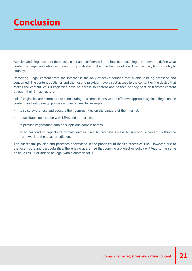# <span id="page-20-0"></span>**Conclusion**

Abusive and illegal content decreases trust and confidence in the Internet. Local legal frameworks define what content is illegal, and who has the authority to deal with it within the rule of law. This may vary from country to country.

Removing illegal content from the Internet is the only effective solution that avoids it being accessed and consumed. The content publisher and the hosting provider have direct access to the content or the device that stores the content. ccTLD registries have no access to content and neither do they host or transfer content through their infrastructure.

ccTLD registries are committed to contributing to a comprehensive and effective approach against illegal online content, and will develop policies and initiatives, for example:

- to raise awareness and educate their communities on the dangers of the Internet,
- to facilitate cooperation with LEAs and authorities,
- to provide registration data on suspicious domain names,
- or to respond to reports of domain names used to facilitate access to suspicious content, within the framework of the local jurisdiction.

The successful policies and practices showcased in the paper could inspire others ccTLDs. However, due to the local roots and particularities, there is no guarantee that copying a project or policy will lead to the same positive result, or indeed be legal within another ccTLD.